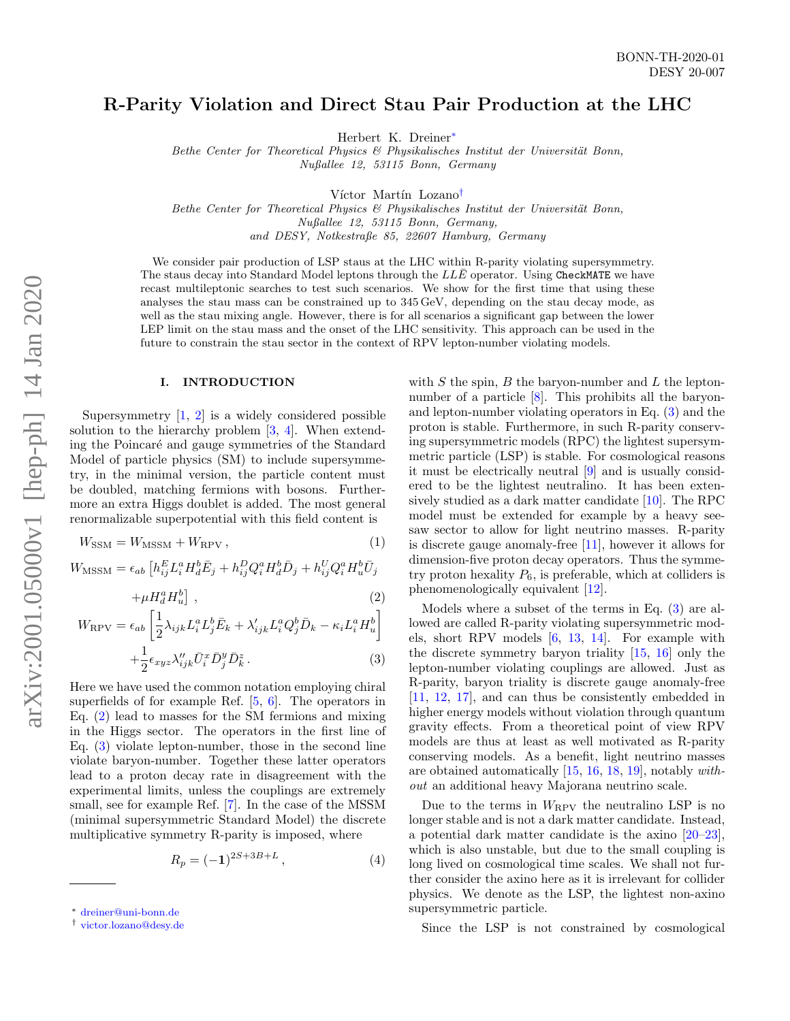# R-Parity Violation and Direct Stau Pair Production at the LHC

Herbert K. Dreiner[∗](#page-0-0)

Bethe Center for Theoretical Physics  $\mathcal B$  Physikalisches Institut der Universität Bonn, Nußallee 12, 53115 Bonn, Germany

Víctor Martín Lozano<sup>[†](#page-0-1)</sup>

Bethe Center for Theoretical Physics  $\mathcal B$  Physikalisches Institut der Universität Bonn, Nußallee 12, 53115 Bonn, Germany,

and DESY, Notkestraße 85, 22607 Hamburg, Germany

We consider pair production of LSP staus at the LHC within R-parity violating supersymmetry. The staus decay into Standard Model leptons through the  $LL\bar{E}$  operator. Using CheckMATE we have recast multileptonic searches to test such scenarios. We show for the first time that using these analyses the stau mass can be constrained up to 345 GeV, depending on the stau decay mode, as well as the stau mixing angle. However, there is for all scenarios a significant gap between the lower LEP limit on the stau mass and the onset of the LHC sensitivity. This approach can be used in the future to constrain the stau sector in the context of RPV lepton-number violating models.

## I. INTRODUCTION

Supersymmetry  $\begin{bmatrix} 1, 2 \end{bmatrix}$  is a widely considered possible solution to the hierarchy problem [\[3,](#page-9-2) [4\]](#page-9-3). When extending the Poincaré and gauge symmetries of the Standard Model of particle physics (SM) to include supersymmetry, in the minimal version, the particle content must be doubled, matching fermions with bosons. Furthermore an extra Higgs doublet is added. The most general renormalizable superpotential with this field content is

<span id="page-0-2"></span>
$$
W_{\text{SSM}} = W_{\text{MSSM}} + W_{\text{RPV}}\,,\tag{1}
$$

 $W_{\text{MSSM}} = \epsilon_{ab} \left[ h_{ij}^E L_i^a H_d^b \bar{E}_j + h_{ij}^D Q_i^a H_d^b \bar{D}_j + h_{ij}^U Q_i^a H_u^b \bar{U}_j \right]$ 

$$
+\mu H_d^a H_u^b \,,\tag{2}
$$

$$
W_{\rm RPV} = \epsilon_{ab} \left[ \frac{1}{2} \lambda_{ijk} L_i^a L_j^b \bar{E}_k + \lambda'_{ijk} L_i^a Q_j^b \bar{D}_k - \kappa_i L_i^a H_u^b \right]
$$

$$
+\frac{1}{2}\epsilon_{xyz}\lambda''_{ijk}\bar{U}_i^x\bar{D}_j^y\bar{D}_k^z.
$$
 (3)

Here we have used the common notation employing chiral superfields of for example Ref. [\[5,](#page-9-4) [6\]](#page-9-5). The operators in Eq. [\(2\)](#page-0-2) lead to masses for the SM fermions and mixing in the Higgs sector. The operators in the first line of Eq. [\(3\)](#page-0-2) violate lepton-number, those in the second line violate baryon-number. Together these latter operators lead to a proton decay rate in disagreement with the experimental limits, unless the couplings are extremely small, see for example Ref. [\[7\]](#page-9-6). In the case of the MSSM (minimal supersymmetric Standard Model) the discrete multiplicative symmetry R-parity is imposed, where

$$
R_p = (-1)^{2S+3B+L},\tag{4}
$$

with  $S$  the spin,  $B$  the baryon-number and  $L$  the leptonnumber of a particle  $[8]$ . This prohibits all the baryonand lepton-number violating operators in Eq. [\(3\)](#page-0-2) and the proton is stable. Furthermore, in such R-parity conserving supersymmetric models (RPC) the lightest supersymmetric particle (LSP) is stable. For cosmological reasons it must be electrically neutral [\[9\]](#page-9-8) and is usually considered to be the lightest neutralino. It has been extensively studied as a dark matter candidate [\[10\]](#page-9-9). The RPC model must be extended for example by a heavy seesaw sector to allow for light neutrino masses. R-parity is discrete gauge anomaly-free [\[11\]](#page-9-10), however it allows for dimension-five proton decay operators. Thus the symmetry proton hexality  $P_6$ , is preferable, which at colliders is phenomenologically equivalent [\[12\]](#page-9-11).

Models where a subset of the terms in Eq. [\(3\)](#page-0-2) are allowed are called R-parity violating supersymmetric models, short RPV models [\[6,](#page-9-5) [13,](#page-9-12) [14\]](#page-9-13). For example with the discrete symmetry baryon triality [\[15,](#page-9-14) [16\]](#page-9-15) only the lepton-number violating couplings are allowed. Just as R-parity, baryon triality is discrete gauge anomaly-free [\[11,](#page-9-10) [12,](#page-9-11) [17\]](#page-9-16), and can thus be consistently embedded in higher energy models without violation through quantum gravity effects. From a theoretical point of view RPV models are thus at least as well motivated as R-parity conserving models. As a benefit, light neutrino masses are obtained automatically [\[15,](#page-9-14) [16,](#page-9-15) [18,](#page-9-17) [19\]](#page-9-18), notably without an additional heavy Majorana neutrino scale.

Due to the terms in  $W_{\rm RPV}$  the neutralino LSP is no longer stable and is not a dark matter candidate. Instead, a potential dark matter candidate is the axino [\[20–](#page-9-19)[23\]](#page-9-20), which is also unstable, but due to the small coupling is long lived on cosmological time scales. We shall not further consider the axino here as it is irrelevant for collider physics. We denote as the LSP, the lightest non-axino supersymmetric particle.

Since the LSP is not constrained by cosmological

<span id="page-0-0"></span><sup>∗</sup> [dreiner@uni-bonn.de](mailto:dreiner@uni-bonn.de)

<span id="page-0-1"></span><sup>†</sup> [victor.lozano@desy.de](mailto:victor.lozano@desy.de)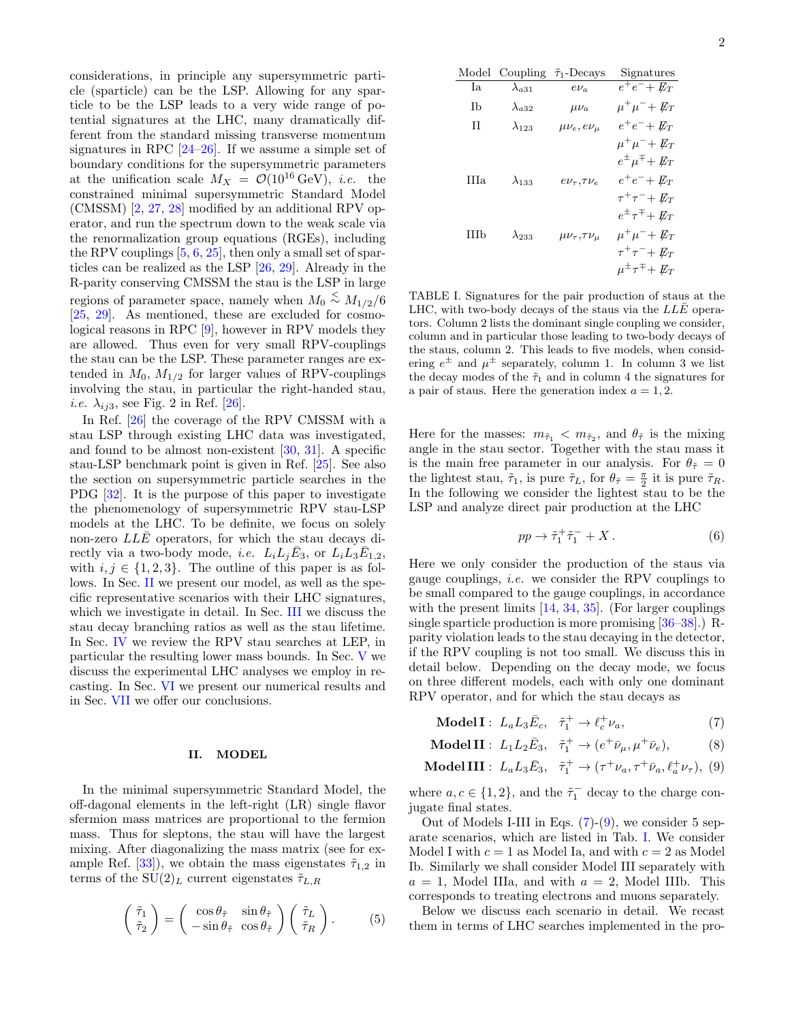considerations, in principle any supersymmetric particle (sparticle) can be the LSP. Allowing for any sparticle to be the LSP leads to a very wide range of potential signatures at the LHC, many dramatically different from the standard missing transverse momentum signatures in RPC  $[24-26]$  $[24-26]$ . If we assume a simple set of boundary conditions for the supersymmetric parameters at the unification scale  $M_X = \mathcal{O}(10^{16} \text{ GeV})$ , *i.e.* the constrained minimal supersymmetric Standard Model (CMSSM) [\[2,](#page-9-1) [27,](#page-9-23) [28\]](#page-9-24) modified by an additional RPV operator, and run the spectrum down to the weak scale via the renormalization group equations (RGEs), including the RPV couplings  $[5, 6, 25]$  $[5, 6, 25]$  $[5, 6, 25]$  $[5, 6, 25]$ , then only a small set of sparticles can be realized as the LSP [\[26,](#page-9-22) [29\]](#page-9-26). Already in the R-parity conserving CMSSM the stau is the LSP in large regions of parameter space, namely when  $M_0 \stackrel{<}{\sim} M_{1/2}/6$ [\[25,](#page-9-25) [29\]](#page-9-26). As mentioned, these are excluded for cosmological reasons in RPC [\[9\]](#page-9-8), however in RPV models they are allowed. Thus even for very small RPV-couplings the stau can be the LSP. These parameter ranges are extended in  $M_0$ ,  $M_{1/2}$  for larger values of RPV-couplings involving the stau, in particular the right-handed stau, *i.e.*  $\lambda_{ij3}$ , see Fig. 2 in Ref. [\[26\]](#page-9-22).

In Ref. [\[26\]](#page-9-22) the coverage of the RPV CMSSM with a stau LSP through existing LHC data was investigated, and found to be almost non-existent  $[30, 31]$  $[30, 31]$ . A specific stau-LSP benchmark point is given in Ref. [\[25\]](#page-9-25). See also the section on supersymmetric particle searches in the PDG [\[32\]](#page-9-29). It is the purpose of this paper to investigate the phenomenology of supersymmetric RPV stau-LSP models at the LHC. To be definite, we focus on solely non-zero  $LL\bar{E}$  operators, for which the stau decays directly via a two-body mode, *i.e.*  $L_i L_j \overline{E}_3$ , or  $L_i L_3 \overline{E}_{1,2}$ , with  $i, j \in \{1, 2, 3\}$ . The outline of this paper is as follows. In Sec. [II](#page-1-0) we present our model, as well as the specific representative scenarios with their LHC signatures, which we investigate in detail. In Sec. [III](#page-2-0) we discuss the stau decay branching ratios as well as the stau lifetime. In Sec. [IV](#page-4-0) we review the RPV stau searches at LEP, in particular the resulting lower mass bounds. In Sec. [V](#page-5-0) we discuss the experimental LHC analyses we employ in recasting. In Sec. [VI](#page-6-0) we present our numerical results and in Sec. [VII](#page-8-0) we offer our conclusions.

#### <span id="page-1-0"></span>II. MODEL

In the minimal supersymmetric Standard Model, the off-dagonal elements in the left-right (LR) single flavor sfermion mass matrices are proportional to the fermion mass. Thus for sleptons, the stau will have the largest mixing. After diagonalizing the mass matrix (see for ex-ample Ref. [\[33\]](#page-9-30)), we obtain the mass eigenstates  $\tilde{\tau}_{1,2}$  in terms of the  $SU(2)_L$  current eigenstates  $\tilde{\tau}_{L,R}$ 

<span id="page-1-3"></span>
$$
\begin{pmatrix} \tilde{\tau}_1 \\ \tilde{\tau}_2 \end{pmatrix} = \begin{pmatrix} \cos \theta_{\tilde{\tau}} & \sin \theta_{\tilde{\tau}} \\ -\sin \theta_{\tilde{\tau}} & \cos \theta_{\tilde{\tau}} \end{pmatrix} \begin{pmatrix} \tilde{\tau}_L \\ \tilde{\tau}_R \end{pmatrix} . \tag{5}
$$

| Model | Coupling        | $\tilde{\tau}_1$ -Decays      | Signatures                           |  |
|-------|-----------------|-------------------------------|--------------------------------------|--|
| Ia    | $\lambda_{a31}$ | $e\nu_a$                      | $e^+e^- + \not\!\!{E_T}$             |  |
| Тb    | $\lambda_{a32}$ | $\mu\nu_a$                    | $\mu^+\mu^-+E_T$                     |  |
| H     | $\lambda_{123}$ | $\mu\nu_e, e\nu_\mu$          | $e^+e^- + E_T$                       |  |
|       |                 |                               | $\mu^+\mu^-+E_T$                     |  |
|       |                 |                               | $e^{\pm} \mu^{\mp} + \not\!\!{E_T}$  |  |
| HIa.  | $\lambda_{133}$ | $e\nu_\tau$ , $\tau\nu_e$     | $e^+e^- + E_T$                       |  |
|       |                 |                               | $\tau^+\tau^-+E_T$                   |  |
|       |                 |                               | $e^{\pm} \tau^{\mp} + \not\!\!{E}_T$ |  |
| НЪ    | $\lambda_{233}$ | $\mu\nu_{\tau},\tau\nu_{\mu}$ | $\mu^+\mu^-+E_T$                     |  |
|       |                 |                               | $\tau^+\tau^-+E_T$                   |  |
|       |                 |                               | $\mu^{\pm}\tau^{\mp}+\not\!\!{E_T}$  |  |

<span id="page-1-2"></span>TABLE I. Signatures for the pair production of staus at the LHC, with two-body decays of the staus via the  $LL\bar{E}$  operators. Column 2 lists the dominant single coupling we consider, column and in particular those leading to two-body decays of the staus, column 2. This leads to five models, when considering  $e^{\pm}$  and  $\mu^{\pm}$  separately, column 1. In column 3 we list the decay modes of the  $\tilde{\tau}_1$  and in column 4 the signatures for a pair of staus. Here the generation index  $a = 1, 2$ .

Here for the masses:  $m_{\tilde{\tau}_1} < m_{\tilde{\tau}_2}$ , and  $\theta_{\tilde{\tau}}$  is the mixing angle in the stau sector. Together with the stau mass it is the main free parameter in our analysis. For  $\theta_{\tilde{\tau}} = 0$ the lightest stau,  $\tilde{\tau}_1$ , is pure  $\tilde{\tau}_L$ , for  $\theta_{\tilde{\tau}} = \frac{\pi}{2}$  it is pure  $\tilde{\tau}_R$ . In the following we consider the lightest stau to be the LSP and analyze direct pair production at the LHC

$$
pp \to \tilde{\tau}_1^+ \tilde{\tau}_1^- + X \,. \tag{6}
$$

Here we only consider the production of the staus via gauge couplings, i.e. we consider the RPV couplings to be small compared to the gauge couplings, in accordance with the present limits [\[14,](#page-9-13) [34,](#page-9-31) [35\]](#page-9-32). (For larger couplings single sparticle production is more promising [\[36–](#page-9-33)[38\]](#page-9-34).) Rparity violation leads to the stau decaying in the detector, if the RPV coupling is not too small. We discuss this in detail below. Depending on the decay mode, we focus on three different models, each with only one dominant RPV operator, and for which the stau decays as

<span id="page-1-1"></span>Model I :  $L_a L_3 \bar{E}_c$ ,  $\tilde{\tau}_1^+ \to \ell_c^+ \nu_a$ , (7)

**Model II**: 
$$
L_1 L_2 \bar{E}_3
$$
,  $\tilde{\tau}_1^+ \to (e^+ \bar{\nu}_\mu, \mu^+ \bar{\nu}_e)$ , (8)

$$
\text{Model III}: L_a L_3 \bar{E}_3, \quad \tilde{\tau}_1^+ \to (\tau^+ \nu_a, \tau^+ \bar{\nu}_a, \ell_a^+ \nu_\tau), \tag{9}
$$

where  $a, c \in \{1, 2\}$ , and the  $\tilde{\tau}_1^-$  decay to the charge conjugate final states.

Out of Models I-III in Eqs.  $(7)-(9)$  $(7)-(9)$ , we consider 5 separate scenarios, which are listed in Tab. [I.](#page-1-2) We consider Model I with  $c = 1$  as Model Ia, and with  $c = 2$  as Model Ib. Similarly we shall consider Model III separately with  $a = 1$ , Model IIIa, and with  $a = 2$ , Model IIIb. This corresponds to treating electrons and muons separately.

Below we discuss each scenario in detail. We recast them in terms of LHC searches implemented in the pro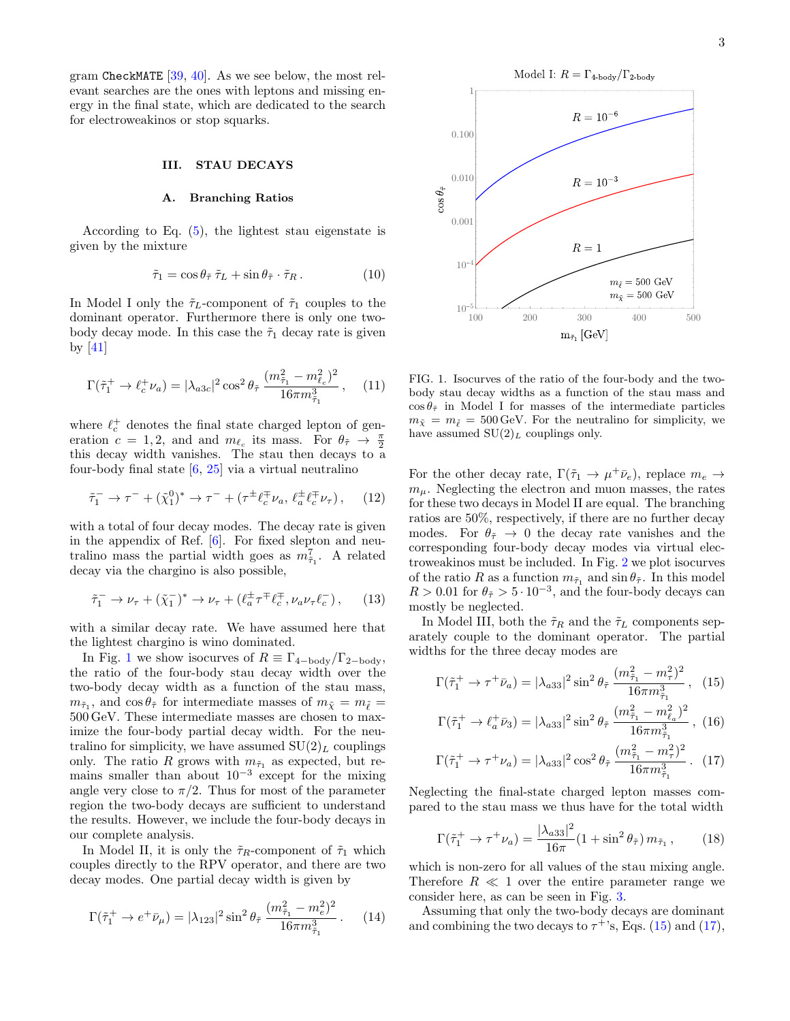gram CheckMATE  $[39, 40]$  $[39, 40]$  $[39, 40]$ . As we see below, the most relevant searches are the ones with leptons and missing energy in the final state, which are dedicated to the search for electroweakinos or stop squarks.

## <span id="page-2-0"></span>III. STAU DECAYS

## A. Branching Ratios

According to Eq.  $(5)$ , the lightest stau eigenstate is given by the mixture

$$
\tilde{\tau}_1 = \cos \theta_{\tilde{\tau}} \tilde{\tau}_L + \sin \theta_{\tilde{\tau}} \cdot \tilde{\tau}_R. \qquad (10)
$$

In Model I only the  $\tilde{\tau}_L$ -component of  $\tilde{\tau}_1$  couples to the dominant operator. Furthermore there is only one twobody decay mode. In this case the  $\tilde{\tau}_1$  decay rate is given by [\[41\]](#page-10-1)

<span id="page-2-3"></span>
$$
\Gamma(\tilde{\tau}_1^+ \to \ell_c^+ \nu_a) = |\lambda_{a3c}|^2 \cos^2 \theta_{\tilde{\tau}} \frac{(m_{\tilde{\tau}_1}^2 - m_{\ell_c}^2)^2}{16\pi m_{\tilde{\tau}_1}^3}, \quad (11)
$$

where  $\ell_c^+$  denotes the final state charged lepton of generation  $c = 1, 2$ , and and  $m_{\ell_c}$  its mass. For  $\theta_{\tilde{\tau}} \to \frac{\pi}{2}$ this decay width vanishes. The stau then decays to a four-body final state [\[6,](#page-9-5) [25\]](#page-9-25) via a virtual neutralino

$$
\tilde{\tau}_1^- \to \tau^- + (\tilde{\chi}_1^0)^* \to \tau^- + (\tau^{\pm} \ell_c^{\mp} \nu_a, \ell_a^{\pm} \ell_c^{\mp} \nu_{\tau}), \quad (12)
$$

with a total of four decay modes. The decay rate is given in the appendix of Ref.  $[6]$ . For fixed slepton and neutralino mass the partial width goes as  $m_{\tilde{\tau}_1}^7$ . A related decay via the chargino is also possible,

$$
\tilde{\tau}_1^- \to \nu_\tau + (\tilde{\chi}_1^-)^* \to \nu_\tau + (\ell_a^{\pm} \tau^{\mp} \ell_c^{\mp}, \nu_a \nu_\tau \ell_c^-), \qquad (13)
$$

with a similar decay rate. We have assumed here that the lightest chargino is wino dominated.

In Fig. [1](#page-2-1) we show isocurves of  $R \equiv \Gamma_{4-\text{body}}/\Gamma_{2-\text{body}}$ , the ratio of the four-body stau decay width over the two-body decay width as a function of the stau mass,  $m_{\tilde{\tau}_1}$ , and  $\cos \theta_{\tilde{\tau}}$  for intermediate masses of  $m_{\tilde{\chi}} = m_{\tilde{\ell}} =$ 500 GeV. These intermediate masses are chosen to maximize the four-body partial decay width. For the neutralino for simplicity, we have assumed  $SU(2)_L$  couplings only. The ratio R grows with  $m_{\tilde{\tau}_1}$  as expected, but remains smaller than about  $10^{-3}$  except for the mixing angle very close to  $\pi/2$ . Thus for most of the parameter region the two-body decays are sufficient to understand the results. However, we include the four-body decays in our complete analysis.

In Model II, it is only the  $\tilde{\tau}_R$ -component of  $\tilde{\tau}_1$  which couples directly to the RPV operator, and there are two decay modes. One partial decay width is given by

<span id="page-2-4"></span>
$$
\Gamma(\tilde{\tau}_1^+ \to e^+ \bar{\nu}_\mu) = |\lambda_{123}|^2 \sin^2 \theta_{\tilde{\tau}} \frac{(m_{\tilde{\tau}_1}^2 - m_e^2)^2}{16\pi m_{\tilde{\tau}_1}^3} \,. \tag{14}
$$



<span id="page-2-1"></span>FIG. 1. Isocurves of the ratio of the four-body and the twobody stau decay widths as a function of the stau mass and  $\cos \theta_{\tilde{\tau}}$  in Model I for masses of the intermediate particles  $m_{\tilde{\chi}} = m_{\tilde{\ell}} = 500 \,\text{GeV}$ . For the neutralino for simplicity, we have assumed  $SU(2)_L$  couplings only.

For the other decay rate,  $\Gamma(\tilde{\tau}_1 \to \mu^+ \bar{\nu}_e)$ , replace  $m_e \to$  $m<sub>u</sub>$ . Neglecting the electron and muon masses, the rates for these two decays in Model II are equal. The branching ratios are 50%, respectively, if there are no further decay modes. For  $\theta_{\tilde{\tau}} \to 0$  the decay rate vanishes and the corresponding four-body decay modes via virtual electroweakinos must be included. In Fig. [2](#page-3-0) we plot isocurves of the ratio R as a function  $m_{\tilde{\tau}_1}$  and  $\sin \theta_{\tilde{\tau}}$ . In this model  $R > 0.01$  for  $\theta_{\tilde{\tau}} > 5 \cdot 10^{-3}$ , and the four-body decays can mostly be neglected.

In Model III, both the  $\tilde{\tau}_R$  and the  $\tilde{\tau}_L$  components separately couple to the dominant operator. The partial widths for the three decay modes are

<span id="page-2-2"></span>
$$
\Gamma(\tilde{\tau}_1^+ \to \tau^+ \bar{\nu}_a) = |\lambda_{a33}|^2 \sin^2 \theta_{\tilde{\tau}} \frac{(m_{\tilde{\tau}_1}^2 - m_{\tau}^2)^2}{16\pi m_{\tilde{\tau}_1}^3}, (15)
$$

$$
\Gamma(\tilde{\tau}_1^+ \to \ell_a^+ \bar{\nu}_3) = |\lambda_{a33}|^2 \sin^2 \theta_{\tilde{\tau}} \frac{(m_{\tilde{\tau}_1}^2 - m_{\ell_a}^2)^2}{16\pi m_{\tilde{\tau}_1}^3}, (16)
$$

$$
\Gamma(\tilde{\tau}_1^+ \to \tau^+ \nu_a) = |\lambda_{a33}|^2 \cos^2 \theta_{\tilde{\tau}} \frac{(m_{\tilde{\tau}_1}^2 - m_{\tilde{\tau}}^2)^2}{16\pi m_{\tilde{\tau}_1}^3} .
$$
 (17)

Neglecting the final-state charged lepton masses compared to the stau mass we thus have for the total width

<span id="page-2-5"></span>
$$
\Gamma(\tilde{\tau}_1^+ \to \tau^+ \nu_a) = \frac{|\lambda_{a33}|^2}{16\pi} (1 + \sin^2 \theta_{\tilde{\tau}}) m_{\tilde{\tau}_1}, \qquad (18)
$$

which is non-zero for all values of the stau mixing angle. Therefore  $R \ll 1$  over the entire parameter range we consider here, as can be seen in Fig. [3.](#page-3-1)

Assuming that only the two-body decays are dominant and combining the two decays to  $\tau^+$ 's, Eqs. [\(15\)](#page-2-2) and [\(17\)](#page-2-2),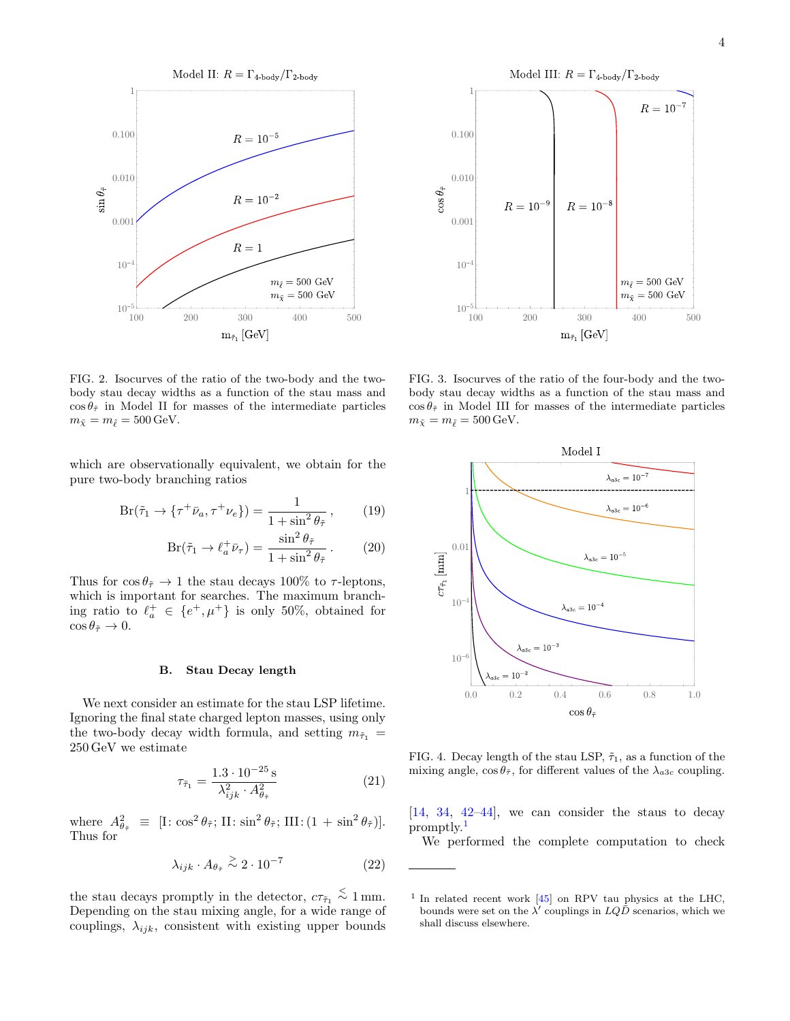

<span id="page-3-0"></span>FIG. 2. Isocurves of the ratio of the two-body and the twobody stau decay widths as a function of the stau mass and  $\cos \theta_{\tilde{\tau}}$  in Model II for masses of the intermediate particles  $m_{\tilde{\chi}} = m_{\tilde{\ell}} = 500 \,\text{GeV}.$ 

which are observationally equivalent, we obtain for the pure two-body branching ratios

<span id="page-3-5"></span>
$$
Br(\tilde{\tau}_1 \to \{\tau^+ \bar{\nu}_a, \tau^+ \nu_e\}) = \frac{1}{1 + \sin^2 \theta_{\tilde{\tau}}},\qquad(19)
$$

$$
Br(\tilde{\tau}_1 \to \ell_a^+ \bar{\nu}_\tau) = \frac{\sin^2 \theta_{\tilde{\tau}}}{1 + \sin^2 \theta_{\tilde{\tau}}}.
$$
 (20)

Thus for  $\cos \theta_{\tilde{\tau}} \to 1$  the stau decays 100% to  $\tau$ -leptons, which is important for searches. The maximum branching ratio to  $\ell_a^+ \in \{e^+, \mu^+\}$  is only 50%, obtained for  $\cos \theta_{\tilde{\tau}} \to 0.$ 

#### B. Stau Decay length

We next consider an estimate for the stau LSP lifetime. Ignoring the final state charged lepton masses, using only the two-body decay width formula, and setting  $m_{\tilde{\tau}_1}$  = 250 GeV we estimate

$$
\tau_{\tilde{\tau}_1} = \frac{1.3 \cdot 10^{-25} \,\mathrm{s}}{\lambda_{ijk}^2 \cdot A_{\theta_{\tilde{\tau}}}^2} \tag{21}
$$

where  $A_{\theta_{\tilde{\tau}}}^2 \equiv [\text{I} : \cos^2 \theta_{\tilde{\tau}}; \text{II} : \sin^2 \theta_{\tilde{\tau}}; \text{III} : (1 + \sin^2 \theta_{\tilde{\tau}})].$ Thus for

<span id="page-3-3"></span>
$$
\lambda_{ijk} \cdot A_{\theta_{\tilde{\tau}}} \stackrel{>}{\sim} 2 \cdot 10^{-7} \tag{22}
$$

the stau decays promptly in the detector,  $c\tau_{\tilde{\tau}_1} \stackrel{<}{\sim} 1 \,\text{mm}$ . Depending on the stau mixing angle, for a wide range of couplings,  $\lambda_{ijk}$ , consistent with existing upper bounds



<span id="page-3-1"></span>FIG. 3. Isocurves of the ratio of the four-body and the twobody stau decay widths as a function of the stau mass and  $\cos \theta_{\tilde{\tau}}$  in Model III for masses of the intermediate particles  $m_{\tilde{\chi}} = m_{\tilde{\ell}} = 500 \,\text{GeV}.$ 



<span id="page-3-4"></span>FIG. 4. Decay length of the stau LSP,  $\tilde{\tau}_1$ , as a function of the mixing angle,  $\cos \theta_{\tilde{\tau}}$ , for different values of the  $\lambda_{a3c}$  coupling.

[\[14,](#page-9-13) [34,](#page-9-31) [42](#page-10-2)[–44\]](#page-10-3), we can consider the staus to decay promptly.[1](#page-3-2)

We performed the complete computation to check

<span id="page-3-2"></span><sup>&</sup>lt;sup>1</sup> In related recent work [\[45\]](#page-10-4) on RPV tau physics at the LHC, bounds were set on the  $\lambda'$  couplings in  $LQ\bar{D}$  scenarios, which we shall discuss elsewhere.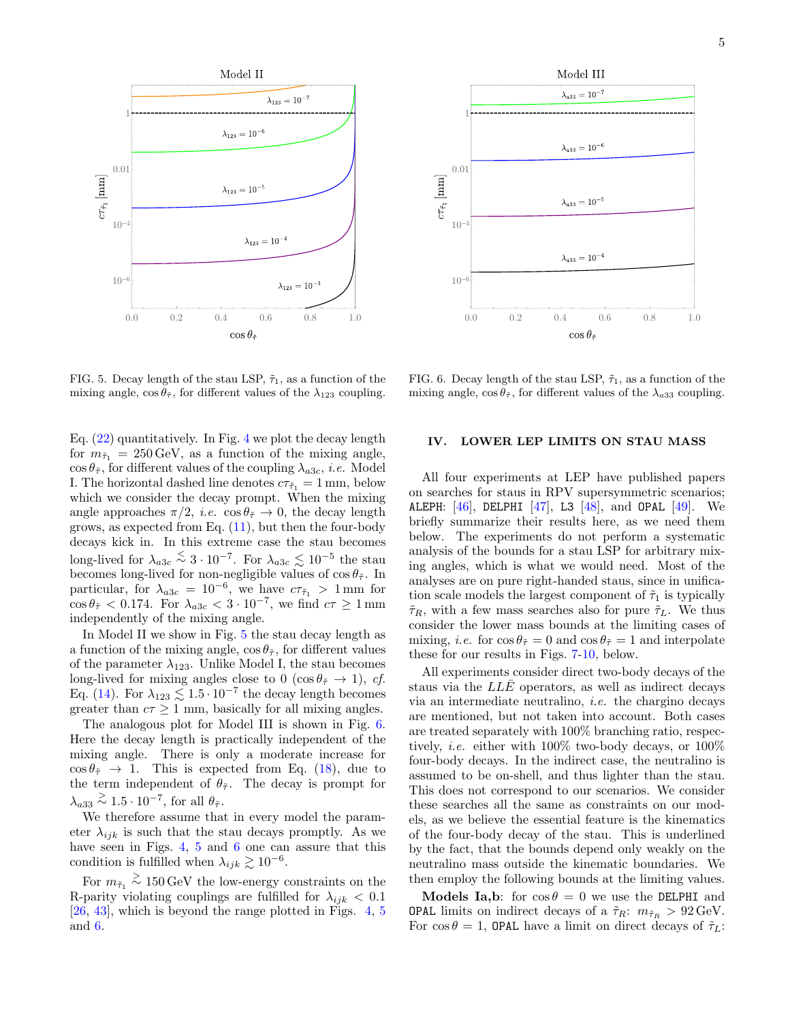

<span id="page-4-1"></span>FIG. 5. Decay length of the stau LSP,  $\tilde{\tau}_1$ , as a function of the mixing angle,  $\cos \theta_{\tilde{\tau}}$ , for different values of the  $\lambda_{123}$  coupling.

Eq.  $(22)$  quantitatively. In Fig. [4](#page-3-4) we plot the decay length for  $m_{\tilde{\tau}_1} = 250 \,\text{GeV}$ , as a function of the mixing angle,  $\cos \theta_{\tilde{\tau}}$ , for different values of the coupling  $\lambda_{a3c}$ , *i.e.* Model I. The horizontal dashed line denotes  $c\tau_{\tilde{\tau}_1} = 1 \,\text{mm}$ , below which we consider the decay prompt. When the mixing angle approaches  $\pi/2$ , *i.e.*  $\cos \theta_{\tilde{\tau}} \to 0$ , the decay length grows, as expected from Eq. [\(11\)](#page-2-3), but then the four-body decays kick in. In this extreme case the stau becomes long-lived for  $\lambda_{a3c} \stackrel{\leq}{\sim} 3 \cdot 10^{-7}$ . For  $\lambda_{a3c} \lesssim 10^{-5}$  the stau becomes long-lived for non-negligible values of  $\cos \theta_{\tilde{\tau}}$ . In particular, for  $\lambda_{a3c} = 10^{-6}$ , we have  $c\tau_{\tilde{\tau}_1} > 1$  mm for  $\cos \theta_{\tilde{\tau}} < 0.174$ . For  $\lambda_{a3c} < 3 \cdot 10^{-7}$ , we find  $c\tau \ge 1 \,\mathrm{mm}$ independently of the mixing angle.

In Model II we show in Fig. [5](#page-4-1) the stau decay length as a function of the mixing angle,  $\cos \theta_{\tilde{\tau}}$ , for different values of the parameter  $\lambda_{123}$ . Unlike Model I, the stau becomes long-lived for mixing angles close to 0 (cos  $\theta_{\tilde{\tau}} \to 1$ ), cf. Eq. [\(14\)](#page-2-4). For  $\lambda_{123} \lesssim 1.5 \cdot 10^{-7}$  the decay length becomes greater than  $c\tau \geq 1$  mm, basically for all mixing angles.

The analogous plot for Model III is shown in Fig. [6.](#page-4-2) Here the decay length is practically independent of the mixing angle. There is only a moderate increase for  $\cos \theta_{\tilde{\tau}} \rightarrow 1$ . This is expected from Eq. [\(18\)](#page-2-5), due to the term independent of  $\theta_{\tilde{\tau}}$ . The decay is prompt for  $\lambda_{a33} \stackrel{\geq}{\sim} 1.5 \cdot 10^{-7}$ , for all  $\theta_{\tilde{\tau}}$ .

We therefore assume that in every model the parameter  $\lambda_{ijk}$  is such that the stau decays promptly. As we have seen in Figs. [4,](#page-3-4) [5](#page-4-1) and [6](#page-4-2) one can assure that this condition is fulfilled when  $\lambda_{ijk} \gtrsim 10^{-6}$ .

For  $m_{\tilde{\tau}_1} \stackrel{>}{\sim} 150\,\textrm{GeV}$  the low-energy constraints on the R-parity violating couplings are fulfilled for  $\lambda_{ijk} < 0.1$ [\[26,](#page-9-22) [43\]](#page-10-5), which is beyond the range plotted in Figs. [4,](#page-3-4) [5](#page-4-1) and [6.](#page-4-2)



<span id="page-4-2"></span>FIG. 6. Decay length of the stau LSP,  $\tilde{\tau}_1$ , as a function of the mixing angle,  $\cos \theta_{\tilde{\tau}}$ , for different values of the  $\lambda_{a33}$  coupling.

#### <span id="page-4-0"></span>IV. LOWER LEP LIMITS ON STAU MASS

All four experiments at LEP have published papers on searches for staus in RPV supersymmetric scenarios; ALEPH:  $[46]$ , DELPHI  $[47]$ , L3  $[48]$ , and OPAL  $[49]$ . We briefly summarize their results here, as we need them below. The experiments do not perform a systematic analysis of the bounds for a stau LSP for arbitrary mixing angles, which is what we would need. Most of the analyses are on pure right-handed staus, since in unification scale models the largest component of  $\tilde{\tau}_1$  is typically  $\tilde{\tau}_R$ , with a few mass searches also for pure  $\tilde{\tau}_L$ . We thus consider the lower mass bounds at the limiting cases of mixing, *i.e.* for  $\cos \theta_{\tilde{\tau}} = 0$  and  $\cos \theta_{\tilde{\tau}} = 1$  and interpolate these for our results in Figs. [7](#page-6-1)[-10,](#page-8-1) below.

All experiments consider direct two-body decays of the staus via the  $L\overline{L}\overline{E}$  operators, as well as indirect decays via an intermediate neutralino, i.e. the chargino decays are mentioned, but not taken into account. Both cases are treated separately with 100% branching ratio, respectively, i.e. either with 100% two-body decays, or 100% four-body decays. In the indirect case, the neutralino is assumed to be on-shell, and thus lighter than the stau. This does not correspond to our scenarios. We consider these searches all the same as constraints on our models, as we believe the essential feature is the kinematics of the four-body decay of the stau. This is underlined by the fact, that the bounds depend only weakly on the neutralino mass outside the kinematic boundaries. We then employ the following bounds at the limiting values.

**Models Ia,b:** for  $\cos \theta = 0$  we use the DELPHI and **OPAL** limits on indirect decays of a  $\tilde{\tau}_R$ :  $m_{\tilde{\tau}_R} > 92 \,\text{GeV}$ . For  $\cos \theta = 1$ , OPAL have a limit on direct decays of  $\tilde{\tau}_L$ :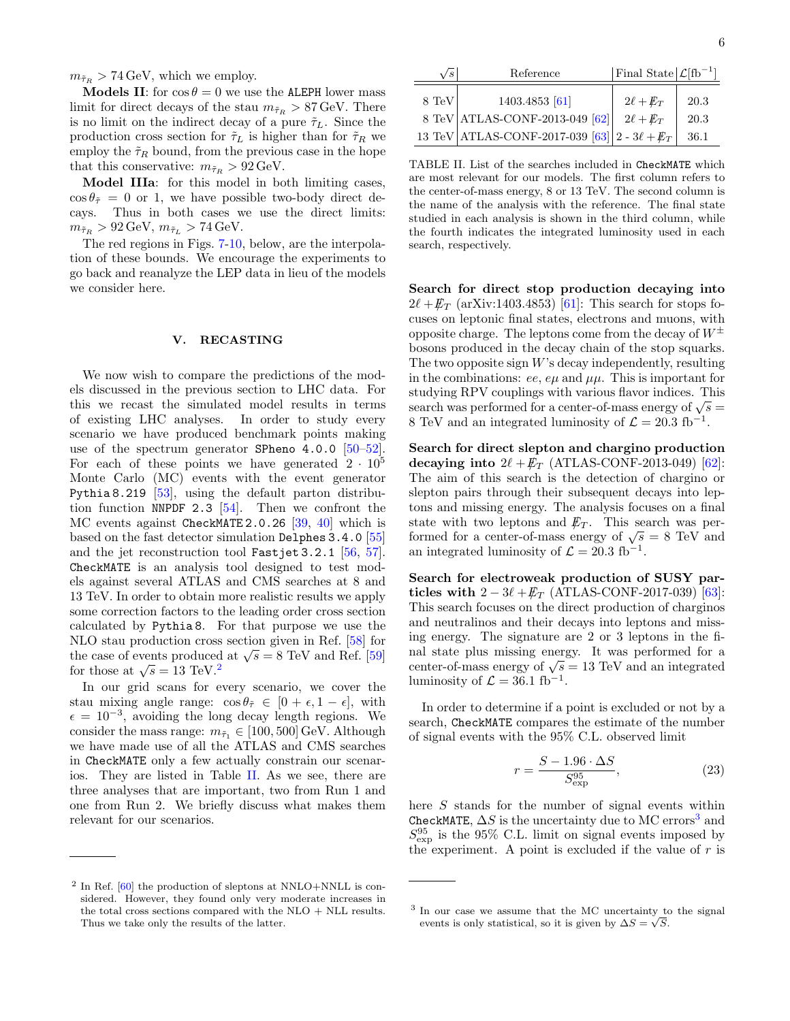$m_{\tilde{\tau}_R} > 74 \,\text{GeV}$ , which we employ.

**Models II:** for  $\cos \theta = 0$  we use the ALEPH lower mass limit for direct decays of the stau  $m_{\tilde{\tau}_R} > 87 \,\text{GeV}$ . There is no limit on the indirect decay of a pure  $\tilde{\tau}_L$ . Since the production cross section for  $\tilde{\tau}_L$  is higher than for  $\tilde{\tau}_R$  we employ the  $\tilde{\tau}_R$  bound, from the previous case in the hope that this conservative:  $m_{\tilde{\tau}_R} > 92 \,\text{GeV}.$ 

Model IIIa: for this model in both limiting cases,  $\cos \theta_{\tilde{\tau}} = 0$  or 1, we have possible two-body direct decays. Thus in both cases we use the direct limits:  $m_{\tilde{\tau}_R} > 92 \,\text{GeV}, m_{\tilde{\tau}_L} > 74 \,\text{GeV}.$ 

The red regions in Figs. [7-](#page-6-1)[10,](#page-8-1) below, are the interpolation of these bounds. We encourage the experiments to go back and reanalyze the LEP data in lieu of the models we consider here.

## <span id="page-5-0"></span>V. RECASTING

We now wish to compare the predictions of the models discussed in the previous section to LHC data. For this we recast the simulated model results in terms of existing LHC analyses. In order to study every scenario we have produced benchmark points making use of the spectrum generator SPheno 4.0.0 [\[50–](#page-10-10)[52\]](#page-10-11). For each of these points we have generated  $2 \cdot 10^5$ Monte Carlo (MC) events with the event generator Pythia 8.219 [\[53\]](#page-10-12), using the default parton distribution function NNPDF 2.3  $[54]$ . Then we confront the MC events against CheckMATE 2.0.26 [\[39,](#page-9-35) [40\]](#page-10-0) which is based on the fast detector simulation Delphes 3.4.0 [\[55\]](#page-10-14) and the jet reconstruction tool Fastjet 3.2.1 [\[56,](#page-10-15) [57\]](#page-10-16). CheckMATE is an analysis tool designed to test models against several ATLAS and CMS searches at 8 and 13 TeV. In order to obtain more realistic results we apply some correction factors to the leading order cross section calculated by Pythia 8. For that purpose we use the NLO stau production cross section given in Ref. [\[58\]](#page-10-17) for NLO stau production cross section given in Ref. [56] for<br>the case of events produced at  $\sqrt{s} = 8$  TeV and Ref. [\[59\]](#page-10-18) the case of events produced<br>for those at  $\sqrt{s} = 13$  TeV.<sup>[2](#page-5-1)</sup>

In our grid scans for every scenario, we cover the stau mixing angle range:  $\cos \theta_{\tilde{\tau}} \in [0 + \epsilon, 1 - \epsilon],$  with  $\epsilon = 10^{-3}$ , avoiding the long decay length regions. We consider the mass range:  $m_{\tilde{\tau}_1} \in [100, 500]$  GeV. Although we have made use of all the ATLAS and CMS searches in CheckMATE only a few actually constrain our scenarios. They are listed in Table [II.](#page-5-2) As we see, there are three analyses that are important, two from Run 1 and one from Run 2. We briefly discuss what makes them relevant for our scenarios.

| $\sqrt{s}$ | Reference                                         | Final State $\mathcal{L}[fb^{-1}]$ |              |
|------------|---------------------------------------------------|------------------------------------|--------------|
| 8 TeV      | 1403.4853 [61]<br>8 TeV ATLAS-CONF-2013-049 [62]  | $2\ell + E_T$<br>$2\ell + E_T$     | 20.3<br>20.3 |
|            | 13 TeV ATLAS-CONF-2017-039 [63] 2 - $3\ell + E_T$ |                                    | 36.1         |

<span id="page-5-2"></span>TABLE II. List of the searches included in CheckMATE which are most relevant for our models. The first column refers to the center-of-mass energy, 8 or 13 TeV. The second column is the name of the analysis with the reference. The final state studied in each analysis is shown in the third column, while the fourth indicates the integrated luminosity used in each search, respectively.

Search for direct stop production decaying into  $2\ell + E_T$  (arXiv:1403.4853) [\[61\]](#page-10-20): This search for stops focuses on leptonic final states, electrons and muons, with opposite charge. The leptons come from the decay of  $W^{\pm}$ bosons produced in the decay chain of the stop squarks. The two opposite sign  $W$ 's decay independently, resulting in the combinations: ee,  $e\mu$  and  $\mu\mu$ . This is important for studying RPV couplings with various flavor indices. This studying KPV couplings with various havor indices. This search was performed for a center-of-mass energy of  $\sqrt{s} =$ 8 TeV and an integrated luminosity of  $\mathcal{L} = 20.3 \text{ fb}^{-1}$ .

Search for direct slepton and chargino production decaying into  $2\ell + E_T$  (ATLAS-CONF-2013-049) [\[62\]](#page-10-21): The aim of this search is the detection of chargino or slepton pairs through their subsequent decays into leptons and missing energy. The analysis focuses on a final state with two leptons and  $\not\hspace{-1.2mm}E_{T}$ . This search was perstate with two leptons and  $\mu_T$ . This search was per-<br>formed for a center-of-mass energy of  $\sqrt{s} = 8$  TeV and an integrated luminosity of  $\mathcal{L} = 20.3$  fb<sup>-1</sup>.

Search for electroweak production of SUSY particles with  $2 - 3\ell + \bar{E}_T$  (ATLAS-CONF-2017-039) [\[63\]](#page-10-22): This search focuses on the direct production of charginos and neutralinos and their decays into leptons and missing energy. The signature are 2 or 3 leptons in the final state plus missing energy. It was performed for a mar state plus missing energy. It was performed for a center-of-mass energy of  $\sqrt{s} = 13$  TeV and an integrated luminosity of  $\mathcal{L} = 36.1 \text{ fb}^{-1}$ .

In order to determine if a point is excluded or not by a search, CheckMATE compares the estimate of the number of signal events with the 95% C.L. observed limit

<span id="page-5-4"></span>
$$
r = \frac{S - 1.96 \cdot \Delta S}{S_{\rm exp}^{95}},
$$
 (23)

here S stands for the number of signal events within CheckMATE,  $\Delta S$  is the uncertainty due to MC errors<sup>[3](#page-5-3)</sup> and  $S_{\text{exp}}^{95}$  is the 95% C.L. limit on signal events imposed by the experiment. A point is excluded if the value of  $r$  is

<span id="page-5-1"></span> $2$  In Ref.  $[60]$  the production of sleptons at NNLO+NNLL is considered. However, they found only very moderate increases in the total cross sections compared with the  $NLO + NLL$  results. Thus we take only the results of the latter.

<span id="page-5-3"></span><sup>&</sup>lt;sup>3</sup> In our case we assume that the MC uncertainty to the signal events is only statistical, so it is given by  $\Delta S = \sqrt{S}$ .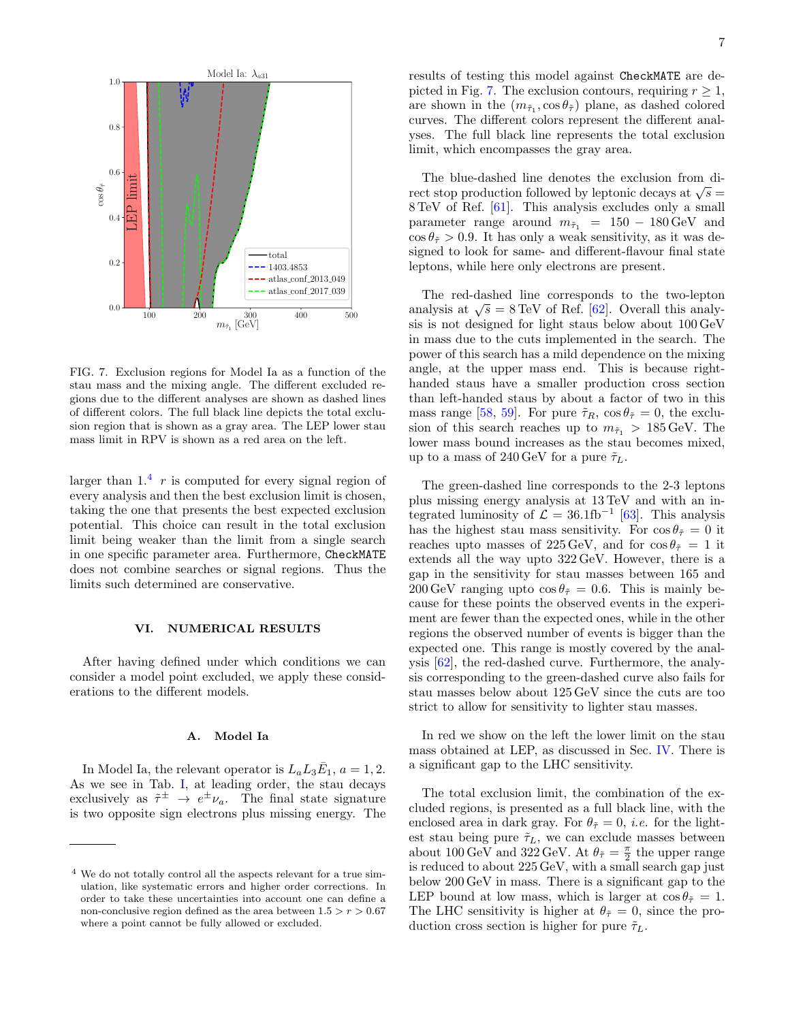

<span id="page-6-1"></span>FIG. 7. Exclusion regions for Model Ia as a function of the stau mass and the mixing angle. The different excluded regions due to the different analyses are shown as dashed lines of different colors. The full black line depicts the total exclusion region that is shown as a gray area. The LEP lower stau mass limit in RPV is shown as a red area on the left.

larger than  $1<sup>4</sup>$  $1<sup>4</sup>$  $1<sup>4</sup>$  r is computed for every signal region of every analysis and then the best exclusion limit is chosen, taking the one that presents the best expected exclusion potential. This choice can result in the total exclusion limit being weaker than the limit from a single search in one specific parameter area. Furthermore, CheckMATE does not combine searches or signal regions. Thus the limits such determined are conservative.

#### <span id="page-6-0"></span>VI. NUMERICAL RESULTS

After having defined under which conditions we can consider a model point excluded, we apply these considerations to the different models.

## A. Model Ia

In Model Ia, the relevant operator is  $L_a L_3 \bar{E}_1$ ,  $a = 1, 2$ . As we see in Tab. [I,](#page-1-2) at leading order, the stau decays exclusively as  $\tilde{\tau}^{\pm} \rightarrow e^{\pm} \nu_a$ . The final state signature is two opposite sign electrons plus missing energy. The results of testing this model against CheckMATE are de-picted in Fig. [7.](#page-6-1) The exclusion contours, requiring  $r \geq 1$ , are shown in the  $(m_{\tilde{\tau}_1}, \cos \theta_{\tilde{\tau}})$  plane, as dashed colored curves. The different colors represent the different analyses. The full black line represents the total exclusion limit, which encompasses the gray area.

The blue-dashed line denotes the exclusion from di-The blue-dashed line denotes the exclusion from direct stop production followed by leptonic decays at  $\sqrt{s} =$ 8 TeV of Ref. [\[61\]](#page-10-20). This analysis excludes only a small parameter range around  $m_{\tilde{\tau}_1}$  = 150 – 180 GeV and  $\cos \theta_{\tilde{\tau}} > 0.9$ . It has only a weak sensitivity, as it was designed to look for same- and different-flavour final state leptons, while here only electrons are present.

The red-dashed line corresponds to the two-lepton The red-dashed line corresponds to the two-repton<br>analysis at  $\sqrt{s} = 8 \text{ TeV}$  of Ref. [\[62\]](#page-10-21). Overall this analysis is not designed for light staus below about 100 GeV in mass due to the cuts implemented in the search. The power of this search has a mild dependence on the mixing angle, at the upper mass end. This is because righthanded staus have a smaller production cross section than left-handed staus by about a factor of two in this mass range [\[58,](#page-10-17) [59\]](#page-10-18). For pure  $\tilde{\tau}_R$ ,  $\cos \theta_{\tilde{\tau}} = 0$ , the exclusion of this search reaches up to  $m_{\tilde{\tau}_1} > 185 \,\text{GeV}$ . The lower mass bound increases as the stau becomes mixed, up to a mass of 240 GeV for a pure  $\tilde{\tau}_L$ .

The green-dashed line corresponds to the 2-3 leptons plus missing energy analysis at 13 TeV and with an integrated luminosity of  $\mathcal{L} = 36.1 \text{fb}^{-1}$  [\[63\]](#page-10-22). This analysis has the highest stau mass sensitivity. For  $\cos \theta_{\tilde{\tau}} = 0$  it reaches upto masses of 225 GeV, and for  $\cos \theta_{\tilde{\tau}} = 1$  it extends all the way upto 322 GeV. However, there is a gap in the sensitivity for stau masses between 165 and 200 GeV ranging upto  $\cos \theta_{\tilde{\tau}} = 0.6$ . This is mainly because for these points the observed events in the experiment are fewer than the expected ones, while in the other regions the observed number of events is bigger than the expected one. This range is mostly covered by the analysis [\[62\]](#page-10-21), the red-dashed curve. Furthermore, the analysis corresponding to the green-dashed curve also fails for stau masses below about 125 GeV since the cuts are too strict to allow for sensitivity to lighter stau masses.

In red we show on the left the lower limit on the stau mass obtained at LEP, as discussed in Sec. [IV.](#page-4-0) There is a significant gap to the LHC sensitivity.

The total exclusion limit, the combination of the excluded regions, is presented as a full black line, with the enclosed area in dark gray. For  $\theta_{\tilde{\tau}} = 0$ , *i.e.* for the lightest stau being pure  $\tilde{\tau}_L$ , we can exclude masses between about 100 GeV and 322 GeV. At  $\theta_{\tilde{\tau}} = \frac{\pi}{2}$  the upper range is reduced to about 225 GeV, with a small search gap just below 200 GeV in mass. There is a significant gap to the LEP bound at low mass, which is larger at  $\cos \theta_{\tilde{\tau}} = 1$ . The LHC sensitivity is higher at  $\theta_{\tilde{\tau}} = 0$ , since the production cross section is higher for pure  $\tilde{\tau}_L$ .

<span id="page-6-2"></span><sup>4</sup> We do not totally control all the aspects relevant for a true simulation, like systematic errors and higher order corrections. In order to take these uncertainties into account one can define a non-conclusive region defined as the area between  $1.5 > r > 0.67$ where a point cannot be fully allowed or excluded.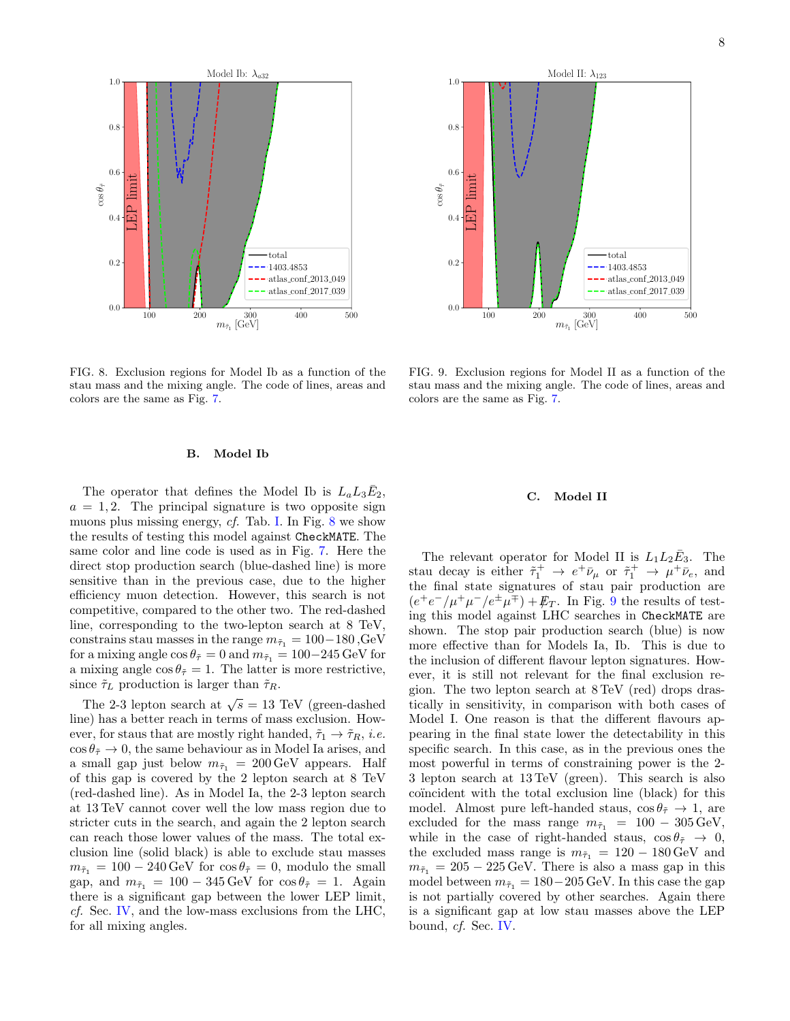

<span id="page-7-0"></span>FIG. 8. Exclusion regions for Model Ib as a function of the stau mass and the mixing angle. The code of lines, areas and colors are the same as Fig. [7.](#page-6-1)

## B. Model Ib

The operator that defines the Model Ib is  $L_a L_3 \bar{E}_2$ ,  $a = 1, 2$ . The principal signature is two opposite sign muons plus missing energy, cf. Tab. [I.](#page-1-2) In Fig. [8](#page-7-0) we show the results of testing this model against CheckMATE. The same color and line code is used as in Fig. [7.](#page-6-1) Here the direct stop production search (blue-dashed line) is more sensitive than in the previous case, due to the higher efficiency muon detection. However, this search is not competitive, compared to the other two. The red-dashed line, corresponding to the two-lepton search at 8 TeV, constrains stau masses in the range  $m_{\tilde{\tau}_1} = 100 - 180$ , GeV for a mixing angle  $\cos \theta_{\tilde{\tau}} = 0$  and  $m_{\tilde{\tau}_1} = 100-245 \,\text{GeV}$  for a mixing angle  $\cos \theta_{\tilde{\tau}} = 1$ . The latter is more restrictive, since  $\tilde{\tau}_L$  production is larger than  $\tilde{\tau}_R$ .

The 2-3 lepton search at  $\sqrt{s} = 13$  TeV (green-dashed line) has a better reach in terms of mass exclusion. However, for staus that are mostly right handed,  $\tilde{\tau}_1 \rightarrow \tilde{\tau}_R$ , *i.e.*  $\cos \theta_{\tilde{\tau}} \to 0$ , the same behaviour as in Model Ia arises, and a small gap just below  $m_{\tilde{\tau}_1} = 200 \,\text{GeV}$  appears. Half of this gap is covered by the 2 lepton search at 8 TeV (red-dashed line). As in Model Ia, the 2-3 lepton search at 13 TeV cannot cover well the low mass region due to stricter cuts in the search, and again the 2 lepton search can reach those lower values of the mass. The total exclusion line (solid black) is able to exclude stau masses  $m_{\tilde{\tau}_1} = 100 - 240 \,\text{GeV}$  for  $\cos \theta_{\tilde{\tau}} = 0$ , modulo the small gap, and  $m_{\tilde{\tau}_1} = 100 - 345 \,\text{GeV}$  for  $\cos \theta_{\tilde{\tau}} = 1$ . Again there is a significant gap between the lower LEP limit, cf. Sec. [IV,](#page-4-0) and the low-mass exclusions from the LHC, for all mixing angles.



<span id="page-7-1"></span>FIG. 9. Exclusion regions for Model II as a function of the stau mass and the mixing angle. The code of lines, areas and colors are the same as Fig. [7.](#page-6-1)

#### C. Model II

The relevant operator for Model II is  $L_1 L_2 \bar{E}_3$ . The stau decay is either  $\tilde{\tau}_1^+ \rightarrow e^+ \bar{\nu}_{\mu}$  or  $\tilde{\tau}_1^+ \rightarrow \mu^+ \bar{\nu}_e$ , and the final state signatures of stau pair production are  $(e^+e^-/\mu^+\mu^-/e^{\pm}\mu^{\mp}) + \not{E_T}$ . In Fig. [9](#page-7-1) the results of testing this model against LHC searches in CheckMATE are shown. The stop pair production search (blue) is now more effective than for Models Ia, Ib. This is due to the inclusion of different flavour lepton signatures. However, it is still not relevant for the final exclusion region. The two lepton search at 8 TeV (red) drops drastically in sensitivity, in comparison with both cases of Model I. One reason is that the different flavours appearing in the final state lower the detectability in this specific search. In this case, as in the previous ones the most powerful in terms of constraining power is the 2- 3 lepton search at 13 TeV (green). This search is also coincident with the total exclusion line (black) for this model. Almost pure left-handed staus,  $\cos \theta_{\tilde{\tau}} \to 1$ , are excluded for the mass range  $m_{\tilde{\tau}_1} = 100 - 305 \,\text{GeV},$ while in the case of right-handed staus,  $\cos \theta_{\tilde{\tau}} \rightarrow 0$ , the excluded mass range is  $m_{\tilde{\tau}_1} = 120 - 180 \,\text{GeV}$  and  $m_{\tilde{\tau}_1} = 205 - 225 \,\text{GeV}$ . There is also a mass gap in this model between  $m_{\tilde{\tau}_1} = 180 - 205 \,\text{GeV}$ . In this case the gap is not partially covered by other searches. Again there is a significant gap at low stau masses above the LEP bound, cf. Sec. [IV.](#page-4-0)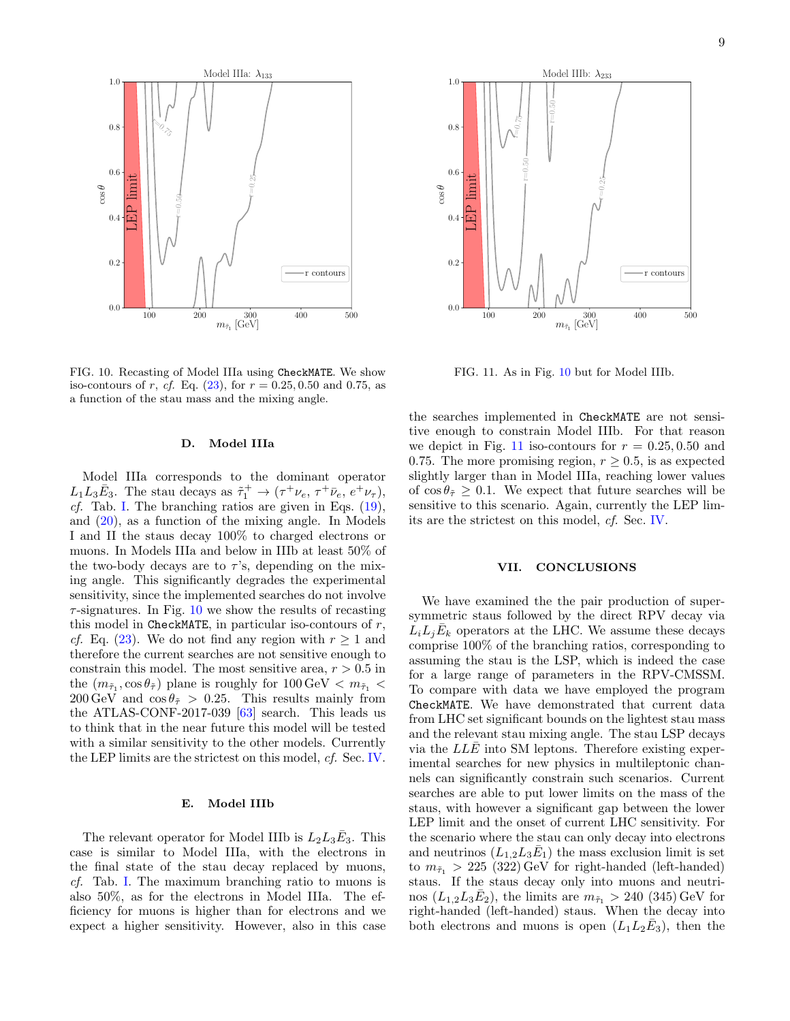

<span id="page-8-1"></span>FIG. 10. Recasting of Model IIIa using CheckMATE. We show iso-contours of r, cf. Eq.  $(23)$ , for  $r = 0.25, 0.50$  and 0.75, as a function of the stau mass and the mixing angle.

#### D. Model IIIa

Model IIIa corresponds to the dominant operator  $L_1L_3\bar{E}_3$ . The stau decays as  $\tilde{\tau}_1^+ \to (\tau^+\nu_e, \tau^+\bar{\nu}_e, e^+\nu_\tau),$ *cf.* Tab. [I.](#page-1-2) The branching ratios are given in Eqs.  $(19)$ , and [\(20\)](#page-3-5), as a function of the mixing angle. In Models I and II the staus decay 100% to charged electrons or muons. In Models IIIa and below in IIIb at least 50% of the two-body decays are to  $\tau$ 's, depending on the mixing angle. This significantly degrades the experimental sensitivity, since the implemented searches do not involve  $\tau$ -signatures. In Fig. [10](#page-8-1) we show the results of recasting this model in CheckMATE, in particular iso-contours of  $r$ , *cf.* Eq. [\(23\)](#page-5-4). We do not find any region with  $r \geq 1$  and therefore the current searches are not sensitive enough to constrain this model. The most sensitive area,  $r > 0.5$  in the  $(m_{\tilde{\tau}_1}, \cos \theta_{\tilde{\tau}})$  plane is roughly for  $100 \,\text{GeV} < m_{\tilde{\tau}_1} <$  $200 \,\text{GeV}$  and  $\cos \theta_{\tilde{\tau}} > 0.25$ . This results mainly from the ATLAS-CONF-2017-039 [\[63\]](#page-10-22) search. This leads us to think that in the near future this model will be tested with a similar sensitivity to the other models. Currently the LEP limits are the strictest on this model, cf. Sec. [IV.](#page-4-0)

#### E. Model IIIb

The relevant operator for Model IIIb is  $L_2 L_3 \bar{E}_3$ . This case is similar to Model IIIa, with the electrons in the final state of the stau decay replaced by muons, cf. Tab. [I.](#page-1-2) The maximum branching ratio to muons is also 50%, as for the electrons in Model IIIa. The efficiency for muons is higher than for electrons and we expect a higher sensitivity. However, also in this case



<span id="page-8-2"></span>FIG. 11. As in Fig. [10](#page-8-1) but for Model IIIb.

the searches implemented in CheckMATE are not sensitive enough to constrain Model IIIb. For that reason we depict in Fig. [11](#page-8-2) iso-contours for  $r = 0.25, 0.50$  and 0.75. The more promising region,  $r \geq 0.5$ , is as expected slightly larger than in Model IIIa, reaching lower values of  $\cos \theta_{\tilde{\tau}} \geq 0.1$ . We expect that future searches will be sensitive to this scenario. Again, currently the LEP limits are the strictest on this model, cf. Sec. [IV.](#page-4-0)

## <span id="page-8-0"></span>VII. CONCLUSIONS

We have examined the the pair production of supersymmetric staus followed by the direct RPV decay via  $\tilde{L}_i L_j \bar{E}_k$  operators at the LHC. We assume these decays comprise 100% of the branching ratios, corresponding to assuming the stau is the LSP, which is indeed the case for a large range of parameters in the RPV-CMSSM. To compare with data we have employed the program CheckMATE. We have demonstrated that current data from LHC set significant bounds on the lightest stau mass and the relevant stau mixing angle. The stau LSP decays via the  $LLE$  into SM leptons. Therefore existing experimental searches for new physics in multileptonic channels can significantly constrain such scenarios. Current searches are able to put lower limits on the mass of the staus, with however a significant gap between the lower LEP limit and the onset of current LHC sensitivity. For the scenario where the stau can only decay into electrons and neutrinos  $(L_{1,2}L_3\bar{E}_1)$  the mass exclusion limit is set to  $m_{\tilde{\tau}_1} > 225$  (322) GeV for right-handed (left-handed) staus. If the staus decay only into muons and neutrinos  $(L_{1,2}L_3\bar{E}_2)$ , the limits are  $m_{\tilde{\tau}_1} > 240$  (345) GeV for right-handed (left-handed) staus. When the decay into both electrons and muons is open  $(L_1L_2\bar{E}_3)$ , then the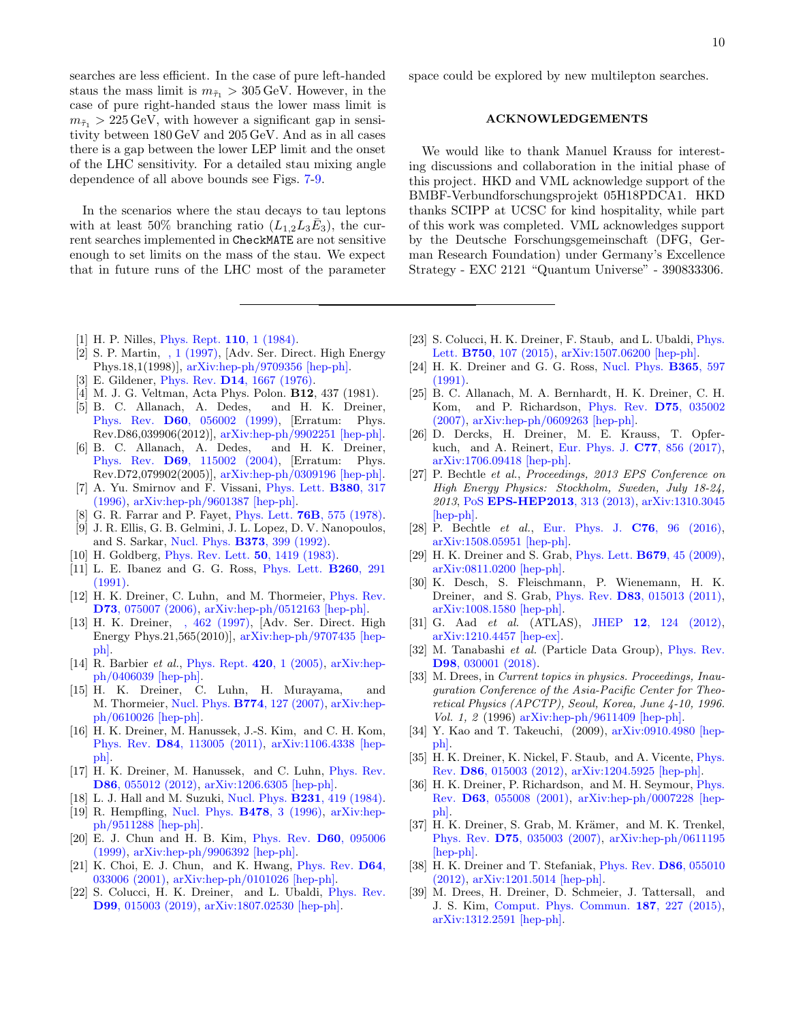searches are less efficient. In the case of pure left-handed staus the mass limit is  $m_{\tilde{\tau}_1} > 305 \,\text{GeV}$ . However, in the case of pure right-handed staus the lower mass limit is  $m_{\tilde{\tau}_1} > 225 \,\text{GeV}$ , with however a significant gap in sensitivity between 180 GeV and 205 GeV. And as in all cases there is a gap between the lower LEP limit and the onset of the LHC sensitivity. For a detailed stau mixing angle dependence of all above bounds see Figs. [7-](#page-6-1)[9.](#page-7-1)

In the scenarios where the stau decays to tau leptons with at least 50% branching ratio  $(L_{1,2}L_3\bar{E}_3)$ , the current searches implemented in CheckMATE are not sensitive enough to set limits on the mass of the stau. We expect that in future runs of the LHC most of the parameter

- <span id="page-9-0"></span>[1] H. P. Nilles, *[Phys. Rept.](http://dx.doi.org/10.1016/0370-1573(84)90008-5)* **110**, 1 (1984).
- <span id="page-9-1"></span>[2] S. P. Martin, [, 1 \(1997\),](http://dx.doi.org/10.1142/9789812839657_0001, 10.1142/9789814307505_0001) [Adv. Ser. Direct. High Energy Phys.18,1(1998)], [arXiv:hep-ph/9709356 \[hep-ph\].](http://arxiv.org/abs/hep-ph/9709356)
- <span id="page-9-2"></span>[3] E. Gildener, Phys. Rev. D14[, 1667 \(1976\).](http://dx.doi.org/10.1103/PhysRevD.14.1667)
- <span id="page-9-3"></span>[4] M. J. G. Veltman, Acta Phys. Polon. B12, 437 (1981).
- <span id="page-9-4"></span>[5] B. C. Allanach, A. Dedes, and H. K. Dreiner, Phys. Rev. D60[, 056002 \(1999\),](http://dx.doi.org/10.1103/PhysRevD.60.056002, 10.1103/PhysRevD.86.039906) [Erratum: Phys. Rev.D86,039906(2012)], [arXiv:hep-ph/9902251 \[hep-ph\].](http://arxiv.org/abs/hep-ph/9902251)
- <span id="page-9-5"></span>[6] B. C. Allanach, A. Dedes, and H. K. Dreiner, Phys. Rev. D69[, 115002 \(2004\),](http://dx.doi.org/10.1103/PhysRevD.69.115002, 10.1103/PhysRevD.72.079902) [Erratum: Phys. Rev.D72,079902(2005)], [arXiv:hep-ph/0309196 \[hep-ph\].](http://arxiv.org/abs/hep-ph/0309196)
- <span id="page-9-6"></span>[7] A. Yu. Smirnov and F. Vissani, [Phys. Lett.](http://dx.doi.org/10.1016/0370-2693(96)00495-9) B380, 317 [\(1996\),](http://dx.doi.org/10.1016/0370-2693(96)00495-9) [arXiv:hep-ph/9601387 \[hep-ph\].](http://arxiv.org/abs/hep-ph/9601387)
- <span id="page-9-7"></span>[8] G. R. Farrar and P. Fayet, Phys. Lett. 76B[, 575 \(1978\).](http://dx.doi.org/10.1016/0370-2693(78)90858-4)
- <span id="page-9-8"></span>[9] J. R. Ellis, G. B. Gelmini, J. L. Lopez, D. V. Nanopoulos, and S. Sarkar, Nucl. Phys. B373[, 399 \(1992\).](http://dx.doi.org/ 10.1016/0550-3213(92)90438-H)
- <span id="page-9-9"></span>[10] H. Goldberg, *[Phys. Rev. Lett.](http://dx.doi.org/10.1103/PhysRevLett.103.099905, 10.1103/PhysRevLett.50.1419)* **50**, 1419 (1983).
- <span id="page-9-10"></span>[11] L. E. Ibanez and G. G. Ross, [Phys. Lett.](http://dx.doi.org/10.1016/0370-2693(91)91614-2) B260, 291 [\(1991\).](http://dx.doi.org/10.1016/0370-2693(91)91614-2)
- <span id="page-9-11"></span>[12] H. K. Dreiner, C. Luhn, and M. Thormeier, [Phys. Rev.](http://dx.doi.org/10.1103/PhysRevD.73.075007) D73[, 075007 \(2006\),](http://dx.doi.org/10.1103/PhysRevD.73.075007) [arXiv:hep-ph/0512163 \[hep-ph\].](http://arxiv.org/abs/hep-ph/0512163)
- <span id="page-9-12"></span>[13] H. K. Dreiner, [, 462 \(1997\),](http://dx.doi.org/10.1142/9789814307505_0017) [Adv. Ser. Direct. High Energy Phys.21,565(2010)], [arXiv:hep-ph/9707435 \[hep](http://arxiv.org/abs/hep-ph/9707435)[ph\].](http://arxiv.org/abs/hep-ph/9707435)
- <span id="page-9-13"></span>[14] R. Barbier *et al.*, [Phys. Rept.](http://dx.doi.org/10.1016/j.physrep.2005.08.006) **420**, 1 (2005), [arXiv:hep](http://arxiv.org/abs/hep-ph/0406039)[ph/0406039 \[hep-ph\].](http://arxiv.org/abs/hep-ph/0406039)
- <span id="page-9-14"></span>[15] H. K. Dreiner, C. Luhn, H. Murayama, and M. Thormeier, Nucl. Phys. B774[, 127 \(2007\),](http://dx.doi.org/10.1016/j.nuclphysb.2007.03.028) [arXiv:hep](http://arxiv.org/abs/hep-ph/0610026)[ph/0610026 \[hep-ph\].](http://arxiv.org/abs/hep-ph/0610026)
- <span id="page-9-15"></span>[16] H. K. Dreiner, M. Hanussek, J.-S. Kim, and C. H. Kom, Phys. Rev. D84[, 113005 \(2011\),](http://dx.doi.org/10.1103/PhysRevD.84.113005) [arXiv:1106.4338 \[hep](http://arxiv.org/abs/1106.4338)[ph\].](http://arxiv.org/abs/1106.4338)
- <span id="page-9-16"></span>[17] H. K. Dreiner, M. Hanussek, and C. Luhn, [Phys. Rev.](http://dx.doi.org/10.1103/PhysRevD.86.055012) D86[, 055012 \(2012\),](http://dx.doi.org/10.1103/PhysRevD.86.055012) [arXiv:1206.6305 \[hep-ph\].](http://arxiv.org/abs/1206.6305)
- <span id="page-9-17"></span>[18] L. J. Hall and M. Suzuki, Nucl. Phys. **B231**[, 419 \(1984\).](http://dx.doi.org/10.1016/0550-3213(84)90513-3)
- <span id="page-9-18"></span>[19] R. Hempfling, [Nucl. Phys.](http://dx.doi.org/10.1016/0550-3213(96)00412-9) B478, 3 (1996), [arXiv:hep](http://arxiv.org/abs/hep-ph/9511288)[ph/9511288 \[hep-ph\].](http://arxiv.org/abs/hep-ph/9511288)
- <span id="page-9-19"></span>[20] E. J. Chun and H. B. Kim, [Phys. Rev.](http://dx.doi.org/10.1103/PhysRevD.60.095006) D60, 095006 [\(1999\),](http://dx.doi.org/10.1103/PhysRevD.60.095006) [arXiv:hep-ph/9906392 \[hep-ph\].](http://arxiv.org/abs/hep-ph/9906392)
- [21] K. Choi, E. J. Chun, and K. Hwang, *[Phys. Rev.](http://dx.doi.org/10.1103/PhysRevD.64.033006)* D64, [033006 \(2001\),](http://dx.doi.org/10.1103/PhysRevD.64.033006) [arXiv:hep-ph/0101026 \[hep-ph\].](http://arxiv.org/abs/hep-ph/0101026)
- [22] S. Colucci, H. K. Dreiner, and L. Ubaldi, [Phys. Rev.](http://dx.doi.org/10.1103/PhysRevD.99.015003) D99[, 015003 \(2019\),](http://dx.doi.org/10.1103/PhysRevD.99.015003) [arXiv:1807.02530 \[hep-ph\].](http://arxiv.org/abs/1807.02530)

space could be explored by new multilepton searches.

## ACKNOWLEDGEMENTS

We would like to thank Manuel Krauss for interesting discussions and collaboration in the initial phase of this project. HKD and VML acknowledge support of the BMBF-Verbundforschungsprojekt 05H18PDCA1. HKD thanks SCIPP at UCSC for kind hospitality, while part of this work was completed. VML acknowledges support by the Deutsche Forschungsgemeinschaft (DFG, German Research Foundation) under Germany's Excellence Strategy - EXC 2121 "Quantum Universe" - 390833306.

- <span id="page-9-20"></span>[23] S. Colucci, H. K. Dreiner, F. Staub, and L. Ubaldi, [Phys.](http://dx.doi.org/10.1016/j.physletb.2015.09.009) Lett. B750[, 107 \(2015\),](http://dx.doi.org/10.1016/j.physletb.2015.09.009) [arXiv:1507.06200 \[hep-ph\].](http://arxiv.org/abs/1507.06200)
- <span id="page-9-21"></span>[24] H. K. Dreiner and G. G. Ross, [Nucl. Phys.](http://dx.doi.org/10.1016/0550-3213(91)90443-2) **B365**, 597  $(1991)$
- <span id="page-9-25"></span>[25] B. C. Allanach, M. A. Bernhardt, H. K. Dreiner, C. H. Kom, and P. Richardson, [Phys. Rev.](http://dx.doi.org/10.1103/PhysRevD.75.035002) D75, 035002 [\(2007\),](http://dx.doi.org/10.1103/PhysRevD.75.035002) [arXiv:hep-ph/0609263 \[hep-ph\].](http://arxiv.org/abs/hep-ph/0609263)
- <span id="page-9-22"></span>[26] D. Dercks, H. Dreiner, M. E. Krauss, T. Opferkuch, and A. Reinert, [Eur. Phys. J.](http://dx.doi.org/ 10.1140/epjc/s10052-017-5414-4) C77, 856 (2017), [arXiv:1706.09418 \[hep-ph\].](http://arxiv.org/abs/1706.09418)
- <span id="page-9-23"></span>[27] P. Bechtle et al., Proceedings, 2013 EPS Conference on High Energy Physics: Stockholm, Sweden, July 18-24, 2013, PoS [EPS-HEP2013](http://dx.doi.org/ 10.22323/1.180.0313), 313 (2013), [arXiv:1310.3045](http://arxiv.org/abs/1310.3045) [\[hep-ph\].](http://arxiv.org/abs/1310.3045)
- <span id="page-9-24"></span>[28] P. Bechtle et al., [Eur. Phys. J.](http://dx.doi.org/10.1140/epjc/s10052-015-3864-0) C76, 96 (2016), [arXiv:1508.05951 \[hep-ph\].](http://arxiv.org/abs/1508.05951)
- <span id="page-9-26"></span>[29] H. K. Dreiner and S. Grab, *[Phys. Lett.](http://dx.doi.org/10.1016/j.physletb.2009.06.059)* **B679**, 45 (2009), [arXiv:0811.0200 \[hep-ph\].](http://arxiv.org/abs/0811.0200)
- <span id="page-9-27"></span>[30] K. Desch, S. Fleischmann, P. Wienemann, H. K. Dreiner, and S. Grab, Phys. Rev. D83[, 015013 \(2011\),](http://dx.doi.org/ 10.1103/PhysRevD.83.015013) [arXiv:1008.1580 \[hep-ph\].](http://arxiv.org/abs/1008.1580)
- <span id="page-9-28"></span>[31] G. Aad et al. (ATLAS), JHEP 12[, 124 \(2012\),](http://dx.doi.org/ 10.1007/JHEP12(2012)124) [arXiv:1210.4457 \[hep-ex\].](http://arxiv.org/abs/1210.4457)
- <span id="page-9-29"></span>[32] M. Tanabashi et al. (Particle Data Group), [Phys. Rev.](http://dx.doi.org/10.1103/PhysRevD.98.030001) D98[, 030001 \(2018\).](http://dx.doi.org/10.1103/PhysRevD.98.030001)
- <span id="page-9-30"></span>[33] M. Drees, in Current topics in physics. Proceedings, Inauguration Conference of the Asia-Pacific Center for Theoretical Physics (APCTP), Seoul, Korea, June 4-10, 1996. Vol. 1, 2 (1996) [arXiv:hep-ph/9611409 \[hep-ph\].](http://arxiv.org/abs/hep-ph/9611409)
- <span id="page-9-31"></span>[34] Y. Kao and T. Takeuchi, (2009), [arXiv:0910.4980 \[hep](http://arxiv.org/abs/0910.4980)[ph\].](http://arxiv.org/abs/0910.4980)
- <span id="page-9-32"></span>[35] H. K. Dreiner, K. Nickel, F. Staub, and A. Vicente, *[Phys.](http://dx.doi.org/ 10.1103/PhysRevD.86.015003)* Rev. D86[, 015003 \(2012\),](http://dx.doi.org/ 10.1103/PhysRevD.86.015003) [arXiv:1204.5925 \[hep-ph\].](http://arxiv.org/abs/1204.5925)
- <span id="page-9-33"></span>[36] H. K. Dreiner, P. Richardson, and M. H. Seymour, [Phys.](http://dx.doi.org/10.1103/PhysRevD.63.055008) Rev. D63[, 055008 \(2001\),](http://dx.doi.org/10.1103/PhysRevD.63.055008) [arXiv:hep-ph/0007228 \[hep](http://arxiv.org/abs/hep-ph/0007228)[ph\].](http://arxiv.org/abs/hep-ph/0007228)
- [37] H. K. Dreiner, S. Grab, M. Krämer, and M. K. Trenkel, Phys. Rev. D75[, 035003 \(2007\),](http://dx.doi.org/10.1103/PhysRevD.75.035003) [arXiv:hep-ph/0611195](http://arxiv.org/abs/hep-ph/0611195) [\[hep-ph\].](http://arxiv.org/abs/hep-ph/0611195)
- <span id="page-9-34"></span>[38] H. K. Dreiner and T. Stefaniak, [Phys. Rev.](http://dx.doi.org/10.1103/PhysRevD.86.055010) D86, 055010 [\(2012\),](http://dx.doi.org/10.1103/PhysRevD.86.055010) [arXiv:1201.5014 \[hep-ph\].](http://arxiv.org/abs/1201.5014)
- <span id="page-9-35"></span>[39] M. Drees, H. Dreiner, D. Schmeier, J. Tattersall, and J. S. Kim, [Comput. Phys. Commun.](http://dx.doi.org/ 10.1016/j.cpc.2014.10.018) 187, 227 (2015), [arXiv:1312.2591 \[hep-ph\].](http://arxiv.org/abs/1312.2591)